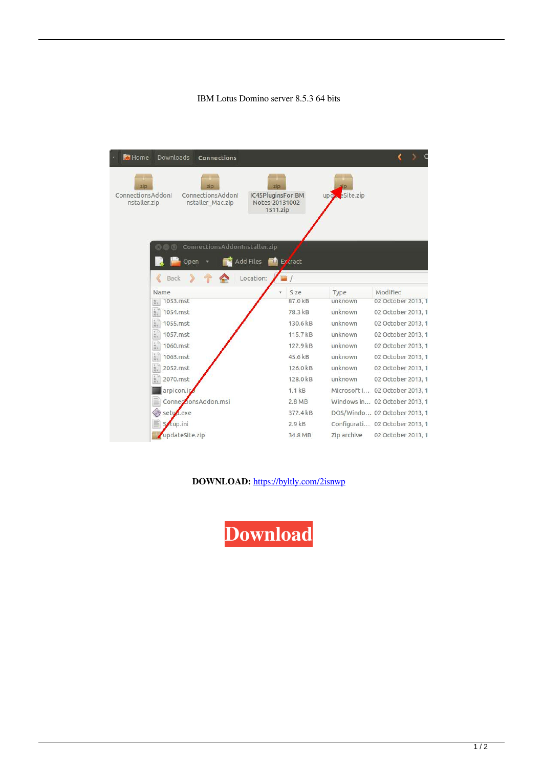## IBM Lotus Domino server 8.5.3 64 bits



**DOWNLOAD:** <https://byltly.com/2isnwp>